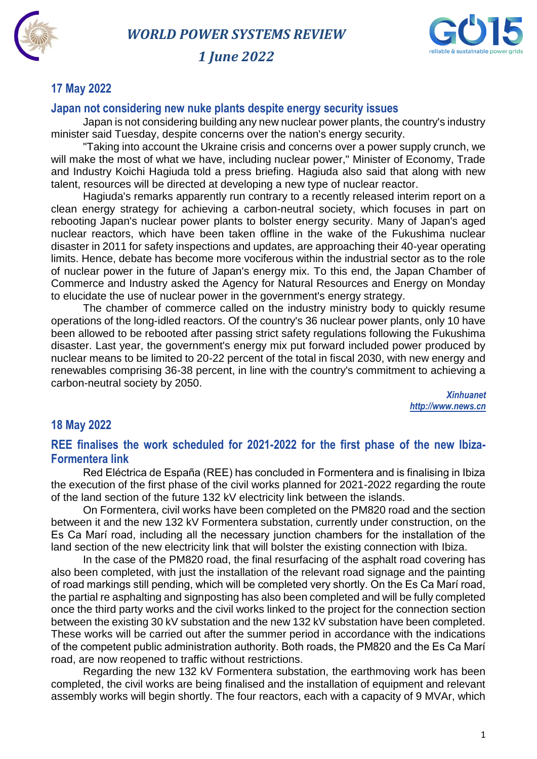

*WORLD POWER SYSTEMS REVIEW 1 June 2022*



## **17 May 2022**

#### **Japan not considering new nuke plants despite energy security issues**

Japan is not considering building any new nuclear power plants, the country's industry minister said Tuesday, despite concerns over the nation's energy security.

"Taking into account the Ukraine crisis and concerns over a power supply crunch, we will make the most of what we have, including nuclear power," Minister of Economy, Trade and Industry Koichi Hagiuda told a press briefing. Hagiuda also said that along with new talent, resources will be directed at developing a new type of nuclear reactor.

Hagiuda's remarks apparently run contrary to a recently released interim report on a clean energy strategy for achieving a carbon-neutral society, which focuses in part on rebooting Japan's nuclear power plants to bolster energy security. Many of Japan's aged nuclear reactors, which have been taken offline in the wake of the Fukushima nuclear disaster in 2011 for safety inspections and updates, are approaching their 40-year operating limits. Hence, debate has become more vociferous within the industrial sector as to the role of nuclear power in the future of Japan's energy mix. To this end, the Japan Chamber of Commerce and Industry asked the Agency for Natural Resources and Energy on Monday to elucidate the use of nuclear power in the government's energy strategy.

The chamber of commerce called on the industry ministry body to quickly resume operations of the long-idled reactors. Of the country's 36 nuclear power plants, only 10 have been allowed to be rebooted after passing strict safety regulations following the Fukushima disaster. Last year, the government's energy mix put forward included power produced by nuclear means to be limited to 20-22 percent of the total in fiscal 2030, with new energy and renewables comprising 36-38 percent, in line with the country's commitment to achieving a carbon-neutral society by 2050.

> *Xinhuanet http://www.news.cn*

#### **18 May 2022**

## **REE finalises the work scheduled for 2021-2022 for the first phase of the new Ibiza-Formentera link**

Red Eléctrica de España (REE) has concluded in Formentera and is finalising in Ibiza the execution of the first phase of the civil works planned for 2021-2022 regarding the route of the land section of the future 132 kV electricity link between the islands.

On Formentera, civil works have been completed on the PM820 road and the section between it and the new 132 kV Formentera substation, currently under construction, on the Es Ca Marí road, including all the necessary junction chambers for the installation of the land section of the new electricity link that will bolster the existing connection with Ibiza.

In the case of the PM820 road, the final resurfacing of the asphalt road covering has also been completed, with just the installation of the relevant road signage and the painting of road markings still pending, which will be completed very shortly. On the Es Ca Marí road, the partial re asphalting and signposting has also been completed and will be fully completed once the third party works and the civil works linked to the project for the connection section between the existing 30 kV substation and the new 132 kV substation have been completed. These works will be carried out after the summer period in accordance with the indications of the competent public administration authority. Both roads, the PM820 and the Es Ca Marí road, are now reopened to traffic without restrictions.

Regarding the new 132 kV Formentera substation, the earthmoving work has been completed, the civil works are being finalised and the installation of equipment and relevant assembly works will begin shortly. The four reactors, each with a capacity of 9 MVAr, which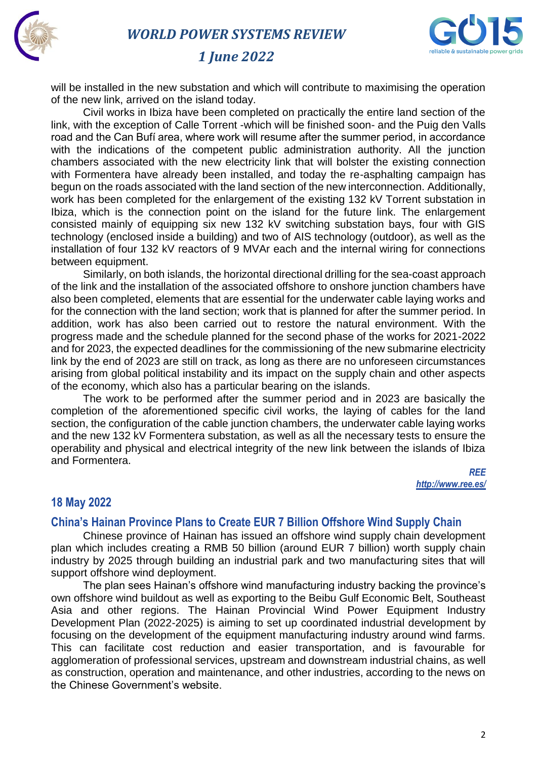



will be installed in the new substation and which will contribute to maximising the operation of the new link, arrived on the island today.

Civil works in Ibiza have been completed on practically the entire land section of the link, with the exception of Calle Torrent -which will be finished soon- and the Puig den Valls road and the Can Bufí area, where work will resume after the summer period, in accordance with the indications of the competent public administration authority. All the junction chambers associated with the new electricity link that will bolster the existing connection with Formentera have already been installed, and today the re-asphalting campaign has begun on the roads associated with the land section of the new interconnection. Additionally, work has been completed for the enlargement of the existing 132 kV Torrent substation in Ibiza, which is the connection point on the island for the future link. The enlargement consisted mainly of equipping six new 132 kV switching substation bays, four with GIS technology (enclosed inside a building) and two of AIS technology (outdoor), as well as the installation of four 132 kV reactors of 9 MVAr each and the internal wiring for connections between equipment.

Similarly, on both islands, the horizontal directional drilling for the sea-coast approach of the link and the installation of the associated offshore to onshore junction chambers have also been completed, elements that are essential for the underwater cable laying works and for the connection with the land section; work that is planned for after the summer period. In addition, work has also been carried out to restore the natural environment. With the progress made and the schedule planned for the second phase of the works for 2021-2022 and for 2023, the expected deadlines for the commissioning of the new submarine electricity link by the end of 2023 are still on track, as long as there are no unforeseen circumstances arising from global political instability and its impact on the supply chain and other aspects of the economy, which also has a particular bearing on the islands.

The work to be performed after the summer period and in 2023 are basically the completion of the aforementioned specific civil works, the laying of cables for the land section, the configuration of the cable junction chambers, the underwater cable laying works and the new 132 kV Formentera substation, as well as all the necessary tests to ensure the operability and physical and electrical integrity of the new link between the islands of Ibiza and Formentera.

*REE http://www.ree.es/*

## **18 May 2022**

#### **China's Hainan Province Plans to Create EUR 7 Billion Offshore Wind Supply Chain**

Chinese province of Hainan has issued an offshore wind supply chain development plan which includes creating a RMB 50 billion (around EUR 7 billion) worth supply chain industry by 2025 through building an industrial park and two manufacturing sites that will support offshore wind deployment.

The plan sees Hainan's offshore wind manufacturing industry backing the province's own offshore wind buildout as well as exporting to the Beibu Gulf Economic Belt, Southeast Asia and other regions. The Hainan Provincial Wind Power Equipment Industry Development Plan (2022-2025) is aiming to set up coordinated industrial development by focusing on the development of the equipment manufacturing industry around wind farms. This can facilitate cost reduction and easier transportation, and is favourable for agglomeration of professional services, upstream and downstream industrial chains, as well as construction, operation and maintenance, and other industries, according to the news on the Chinese Government's website.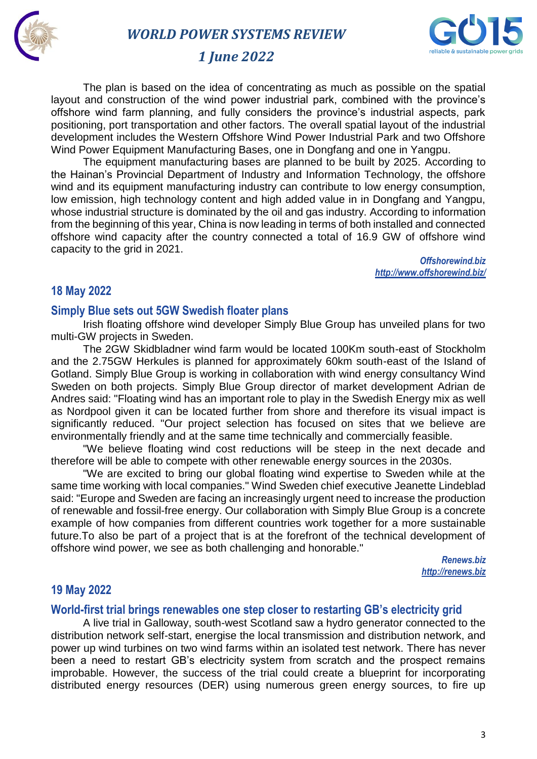



The plan is based on the idea of concentrating as much as possible on the spatial layout and construction of the wind power industrial park, combined with the province's offshore wind farm planning, and fully considers the province's industrial aspects, park positioning, port transportation and other factors. The overall spatial layout of the industrial development includes the Western Offshore Wind Power Industrial Park and two Offshore Wind Power Equipment Manufacturing Bases, one in Dongfang and one in Yangpu.

The equipment manufacturing bases are planned to be built by 2025. According to the Hainan's Provincial Department of Industry and Information Technology, the offshore wind and its equipment manufacturing industry can contribute to low energy consumption, low emission, high technology content and high added value in in Dongfang and Yangpu, whose industrial structure is dominated by the oil and gas industry. According to information from the beginning of this year, China is now leading in terms of both installed and connected offshore wind capacity after the country connected a total of 16.9 GW of offshore wind capacity to the grid in 2021.

*Offshorewind.biz http://www.offshorewind.biz/*

## **18 May 2022**

#### **Simply Blue sets out 5GW Swedish floater plans**

Irish floating offshore wind developer Simply Blue Group has unveiled plans for two multi-GW projects in Sweden.

The 2GW Skidbladner wind farm would be located 100Km south-east of Stockholm and the 2.75GW Herkules is planned for approximately 60km south-east of the Island of Gotland. Simply Blue Group is working in collaboration with wind energy consultancy Wind Sweden on both projects. Simply Blue Group director of market development Adrian de Andres said: "Floating wind has an important role to play in the Swedish Energy mix as well as Nordpool given it can be located further from shore and therefore its visual impact is significantly reduced. "Our project selection has focused on sites that we believe are environmentally friendly and at the same time technically and commercially feasible.

"We believe floating wind cost reductions will be steep in the next decade and therefore will be able to compete with other renewable energy sources in the 2030s.

"We are excited to bring our global floating wind expertise to Sweden while at the same time working with local companies." Wind Sweden chief executive Jeanette Lindeblad said: "Europe and Sweden are facing an increasingly urgent need to increase the production of renewable and fossil-free energy. Our collaboration with Simply Blue Group is a concrete example of how companies from different countries work together for a more sustainable future.To also be part of a project that is at the forefront of the technical development of offshore wind power, we see as both challenging and honorable."

> *Renews.biz http://renews.biz*

## **19 May 2022**

#### **World-first trial brings renewables one step closer to restarting GB's electricity grid**

A live trial in Galloway, south-west Scotland saw a hydro generator connected to the distribution network self-start, energise the local transmission and distribution network, and power up wind turbines on two wind farms within an isolated test network. There has never been a need to restart GB's electricity system from scratch and the prospect remains improbable. However, the success of the trial could create a blueprint for incorporating distributed energy resources (DER) using numerous green energy sources, to fire up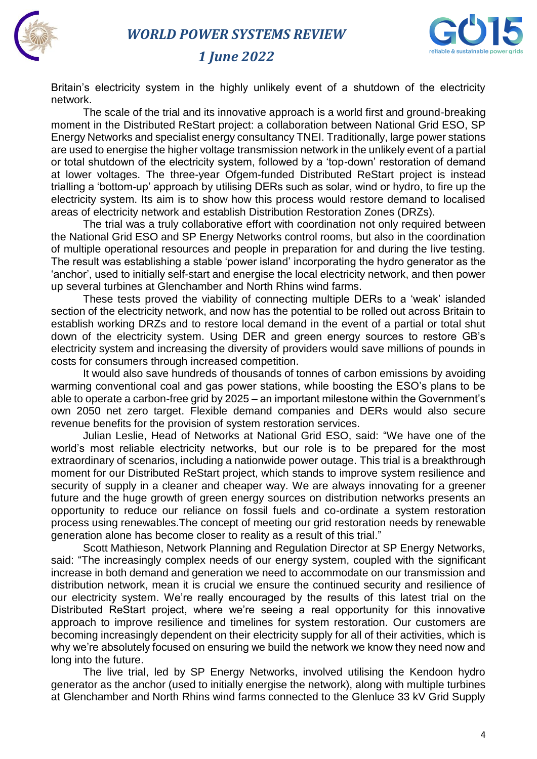



Britain's electricity system in the highly unlikely event of a shutdown of the electricity network.

The scale of the trial and its innovative approach is a world first and ground-breaking moment in the Distributed ReStart project: a collaboration between National Grid ESO, SP Energy Networks and specialist energy consultancy TNEI. Traditionally, large power stations are used to energise the higher voltage transmission network in the unlikely event of a partial or total shutdown of the electricity system, followed by a 'top-down' restoration of demand at lower voltages. The three-year Ofgem-funded Distributed ReStart project is instead trialling a 'bottom-up' approach by utilising DERs such as solar, wind or hydro, to fire up the electricity system. Its aim is to show how this process would restore demand to localised areas of electricity network and establish Distribution Restoration Zones (DRZs).

The trial was a truly collaborative effort with coordination not only required between the National Grid ESO and SP Energy Networks control rooms, but also in the coordination of multiple operational resources and people in preparation for and during the live testing. The result was establishing a stable 'power island' incorporating the hydro generator as the 'anchor', used to initially self-start and energise the local electricity network, and then power up several turbines at Glenchamber and North Rhins wind farms.

These tests proved the viability of connecting multiple DERs to a 'weak' islanded section of the electricity network, and now has the potential to be rolled out across Britain to establish working DRZs and to restore local demand in the event of a partial or total shut down of the electricity system. Using DER and green energy sources to restore GB's electricity system and increasing the diversity of providers would save millions of pounds in costs for consumers through increased competition.

It would also save hundreds of thousands of tonnes of carbon emissions by avoiding warming conventional coal and gas power stations, while boosting the ESO's plans to be able to operate a carbon-free grid by 2025 – an important milestone within the Government's own 2050 net zero target. Flexible demand companies and DERs would also secure revenue benefits for the provision of system restoration services.

Julian Leslie, Head of Networks at National Grid ESO, said: "We have one of the world's most reliable electricity networks, but our role is to be prepared for the most extraordinary of scenarios, including a nationwide power outage. This trial is a breakthrough moment for our Distributed ReStart project, which stands to improve system resilience and security of supply in a cleaner and cheaper way. We are always innovating for a greener future and the huge growth of green energy sources on distribution networks presents an opportunity to reduce our reliance on fossil fuels and co-ordinate a system restoration process using renewables.The concept of meeting our grid restoration needs by renewable generation alone has become closer to reality as a result of this trial."

Scott Mathieson, Network Planning and Regulation Director at SP Energy Networks, said: "The increasingly complex needs of our energy system, coupled with the significant increase in both demand and generation we need to accommodate on our transmission and distribution network, mean it is crucial we ensure the continued security and resilience of our electricity system. We're really encouraged by the results of this latest trial on the Distributed ReStart project, where we're seeing a real opportunity for this innovative approach to improve resilience and timelines for system restoration. Our customers are becoming increasingly dependent on their electricity supply for all of their activities, which is why we're absolutely focused on ensuring we build the network we know they need now and long into the future.

The live trial, led by SP Energy Networks, involved utilising the Kendoon hydro generator as the anchor (used to initially energise the network), along with multiple turbines at Glenchamber and North Rhins wind farms connected to the Glenluce 33 kV Grid Supply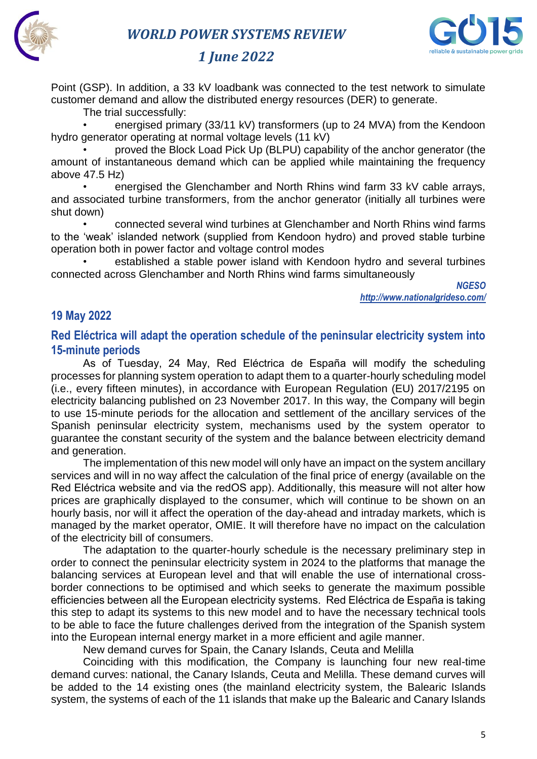



Point (GSP). In addition, a 33 kV loadbank was connected to the test network to simulate customer demand and allow the distributed energy resources (DER) to generate.

The trial successfully:

• energised primary (33/11 kV) transformers (up to 24 MVA) from the Kendoon hydro generator operating at normal voltage levels (11 kV)

• proved the Block Load Pick Up (BLPU) capability of the anchor generator (the amount of instantaneous demand which can be applied while maintaining the frequency above 47.5 Hz)

• energised the Glenchamber and North Rhins wind farm 33 kV cable arrays, and associated turbine transformers, from the anchor generator (initially all turbines were shut down)

• connected several wind turbines at Glenchamber and North Rhins wind farms to the 'weak' islanded network (supplied from Kendoon hydro) and proved stable turbine operation both in power factor and voltage control modes

• established a stable power island with Kendoon hydro and several turbines connected across Glenchamber and North Rhins wind farms simultaneously

> *NGESO http://www.nationalgrideso.com/*

## **19 May 2022**

**Red Eléctrica will adapt the operation schedule of the peninsular electricity system into 15-minute periods**

As of Tuesday, 24 May, Red Eléctrica de España will modify the scheduling processes for planning system operation to adapt them to a quarter-hourly scheduling model (i.e., every fifteen minutes), in accordance with European Regulation (EU) 2017/2195 on electricity balancing published on 23 November 2017. In this way, the Company will begin to use 15-minute periods for the allocation and settlement of the ancillary services of the Spanish peninsular electricity system, mechanisms used by the system operator to guarantee the constant security of the system and the balance between electricity demand and generation.

The implementation of this new model will only have an impact on the system ancillary services and will in no way affect the calculation of the final price of energy (available on the Red Eléctrica website and via the redOS app). Additionally, this measure will not alter how prices are graphically displayed to the consumer, which will continue to be shown on an hourly basis, nor will it affect the operation of the day-ahead and intraday markets, which is managed by the market operator, OMIE. It will therefore have no impact on the calculation of the electricity bill of consumers.

The adaptation to the quarter-hourly schedule is the necessary preliminary step in order to connect the peninsular electricity system in 2024 to the platforms that manage the balancing services at European level and that will enable the use of international crossborder connections to be optimised and which seeks to generate the maximum possible efficiencies between all the European electricity systems. Red Eléctrica de España is taking this step to adapt its systems to this new model and to have the necessary technical tools to be able to face the future challenges derived from the integration of the Spanish system into the European internal energy market in a more efficient and agile manner.

New demand curves for Spain, the Canary Islands, Ceuta and Melilla

Coinciding with this modification, the Company is launching four new real-time demand curves: national, the Canary Islands, Ceuta and Melilla. These demand curves will be added to the 14 existing ones (the mainland electricity system, the Balearic Islands system, the systems of each of the 11 islands that make up the Balearic and Canary Islands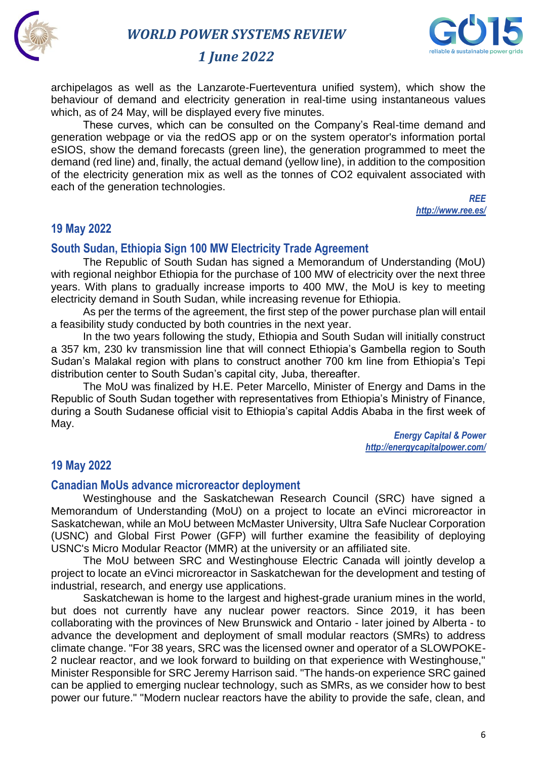



archipelagos as well as the Lanzarote-Fuerteventura unified system), which show the behaviour of demand and electricity generation in real-time using instantaneous values which, as of 24 May, will be displayed every five minutes.

These curves, which can be consulted on the Company's Real-time demand and generation webpage or via the redOS app or on the system operator's information portal eSIOS, show the demand forecasts (green line), the generation programmed to meet the demand (red line) and, finally, the actual demand (yellow line), in addition to the composition of the electricity generation mix as well as the tonnes of CO2 equivalent associated with each of the generation technologies.

> *REE http://www.ree.es/*

## **19 May 2022**

## **South Sudan, Ethiopia Sign 100 MW Electricity Trade Agreement**

The Republic of South Sudan has signed a Memorandum of Understanding (MoU) with regional neighbor Ethiopia for the purchase of 100 MW of electricity over the next three years. With plans to gradually increase imports to 400 MW, the MoU is key to meeting electricity demand in South Sudan, while increasing revenue for Ethiopia.

As per the terms of the agreement, the first step of the power purchase plan will entail a feasibility study conducted by both countries in the next year.

In the two years following the study, Ethiopia and South Sudan will initially construct a 357 km, 230 kv transmission line that will connect Ethiopia's Gambella region to South Sudan's Malakal region with plans to construct another 700 km line from Ethiopia's Tepi distribution center to South Sudan's capital city, Juba, thereafter.

The MoU was finalized by H.E. Peter Marcello, Minister of Energy and Dams in the Republic of South Sudan together with representatives from Ethiopia's Ministry of Finance, during a South Sudanese official visit to Ethiopia's capital Addis Ababa in the first week of May.

*Energy Capital & Power http://energycapitalpower.com/*

## **19 May 2022**

#### **Canadian MoUs advance microreactor deployment**

Westinghouse and the Saskatchewan Research Council (SRC) have signed a Memorandum of Understanding (MoU) on a project to locate an eVinci microreactor in Saskatchewan, while an MoU between McMaster University, Ultra Safe Nuclear Corporation (USNC) and Global First Power (GFP) will further examine the feasibility of deploying USNC's Micro Modular Reactor (MMR) at the university or an affiliated site.

The MoU between SRC and Westinghouse Electric Canada will jointly develop a project to locate an eVinci microreactor in Saskatchewan for the development and testing of industrial, research, and energy use applications.

Saskatchewan is home to the largest and highest-grade uranium mines in the world, but does not currently have any nuclear power reactors. Since 2019, it has been collaborating with the provinces of New Brunswick and Ontario - later joined by Alberta - to advance the development and deployment of small modular reactors (SMRs) to address climate change. "For 38 years, SRC was the licensed owner and operator of a SLOWPOKE-2 nuclear reactor, and we look forward to building on that experience with Westinghouse," Minister Responsible for SRC Jeremy Harrison said. "The hands-on experience SRC gained can be applied to emerging nuclear technology, such as SMRs, as we consider how to best power our future." "Modern nuclear reactors have the ability to provide the safe, clean, and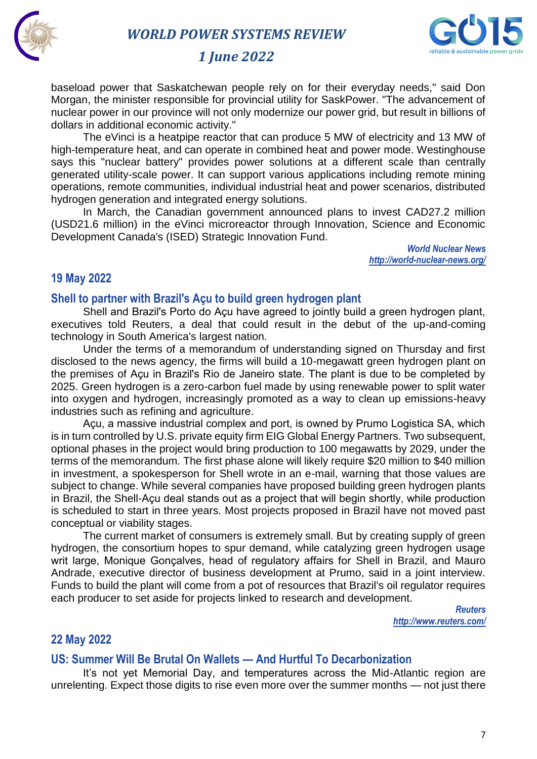



baseload power that Saskatchewan people rely on for their everyday needs," said Don Morgan, the minister responsible for provincial utility for SaskPower. "The advancement of nuclear power in our province will not only modernize our power grid, but result in billions of dollars in additional economic activity."

The eVinci is a heatpipe reactor that can produce 5 MW of electricity and 13 MW of high-temperature heat, and can operate in combined heat and power mode. Westinghouse says this "nuclear battery" provides power solutions at a different scale than centrally generated utility-scale power. It can support various applications including remote mining operations, remote communities, individual industrial heat and power scenarios, distributed hydrogen generation and integrated energy solutions.

In March, the Canadian government announced plans to invest CAD27.2 million (USD21.6 million) in the eVinci microreactor through Innovation, Science and Economic Development Canada's (ISED) Strategic Innovation Fund.

> *World Nuclear News http://world-nuclear-news.org/*

## **19 May 2022**

#### **Shell to partner with Brazil's Açu to build green hydrogen plant**

Shell and Brazil's Porto do Açu have agreed to jointly build a green hydrogen plant, executives told Reuters, a deal that could result in the debut of the up-and-coming technology in South America's largest nation.

Under the terms of a memorandum of understanding signed on Thursday and first disclosed to the news agency, the firms will build a 10-megawatt green hydrogen plant on the premises of Açu in Brazil's Rio de Janeiro state. The plant is due to be completed by 2025. Green hydrogen is a zero-carbon fuel made by using renewable power to split water into oxygen and hydrogen, increasingly promoted as a way to clean up emissions-heavy industries such as refining and agriculture.

Açu, a massive industrial complex and port, is owned by Prumo Logistica SA, which is in turn controlled by U.S. private equity firm EIG Global Energy Partners. Two subsequent, optional phases in the project would bring production to 100 megawatts by 2029, under the terms of the memorandum. The first phase alone will likely require \$20 million to \$40 million in investment, a spokesperson for Shell wrote in an e-mail, warning that those values are subject to change. While several companies have proposed building green hydrogen plants in Brazil, the Shell-Açu deal stands out as a project that will begin shortly, while production is scheduled to start in three years. Most projects proposed in Brazil have not moved past conceptual or viability stages.

The current market of consumers is extremely small. But by creating supply of green hydrogen, the consortium hopes to spur demand, while catalyzing green hydrogen usage writ large, Monique Gonçalves, head of regulatory affairs for Shell in Brazil, and Mauro Andrade, executive director of business development at Prumo, said in a joint interview. Funds to build the plant will come from a pot of resources that Brazil's oil regulator requires each producer to set aside for projects linked to research and development.

> *Reuters http://www.reuters.com/*

## **22 May 2022**

## **US: Summer Will Be Brutal On Wallets — And Hurtful To Decarbonization**

It's not yet Memorial Day, and temperatures across the Mid-Atlantic region are unrelenting. Expect those digits to rise even more over the summer months — not just there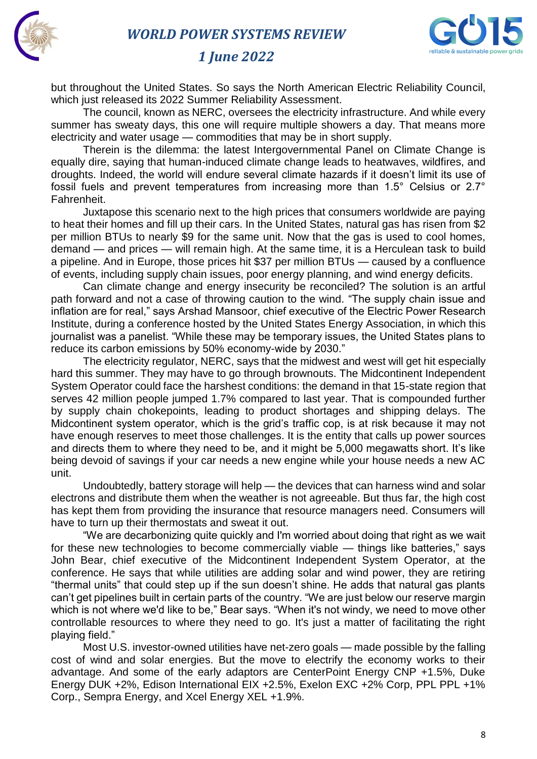



but throughout the United States. So says the North American Electric Reliability Council, which just released its 2022 Summer Reliability Assessment.

The council, known as NERC, oversees the electricity infrastructure. And while every summer has sweaty days, this one will require multiple showers a day. That means more electricity and water usage — commodities that may be in short supply.

Therein is the dilemma: the latest Intergovernmental Panel on Climate Change is equally dire, saying that human-induced climate change leads to heatwaves, wildfires, and droughts. Indeed, the world will endure several climate hazards if it doesn't limit its use of fossil fuels and prevent temperatures from increasing more than 1.5° Celsius or 2.7° Fahrenheit.

Juxtapose this scenario next to the high prices that consumers worldwide are paying to heat their homes and fill up their cars. In the United States, natural gas has risen from \$2 per million BTUs to nearly \$9 for the same unit. Now that the gas is used to cool homes, demand — and prices — will remain high. At the same time, it is a Herculean task to build a pipeline. And in Europe, those prices hit \$37 per million BTUs — caused by a confluence of events, including supply chain issues, poor energy planning, and wind energy deficits.

Can climate change and energy insecurity be reconciled? The solution is an artful path forward and not a case of throwing caution to the wind. "The supply chain issue and inflation are for real," says Arshad Mansoor, chief executive of the Electric Power Research Institute, during a conference hosted by the United States Energy Association, in which this journalist was a panelist. "While these may be temporary issues, the United States plans to reduce its carbon emissions by 50% economy-wide by 2030."

The electricity regulator, NERC, says that the midwest and west will get hit especially hard this summer. They may have to go through brownouts. The Midcontinent Independent System Operator could face the harshest conditions: the demand in that 15-state region that serves 42 million people jumped 1.7% compared to last year. That is compounded further by supply chain chokepoints, leading to product shortages and shipping delays. The Midcontinent system operator, which is the grid's traffic cop, is at risk because it may not have enough reserves to meet those challenges. It is the entity that calls up power sources and directs them to where they need to be, and it might be 5,000 megawatts short. It's like being devoid of savings if your car needs a new engine while your house needs a new AC unit.

Undoubtedly, battery storage will help — the devices that can harness wind and solar electrons and distribute them when the weather is not agreeable. But thus far, the high cost has kept them from providing the insurance that resource managers need. Consumers will have to turn up their thermostats and sweat it out.

"We are decarbonizing quite quickly and I'm worried about doing that right as we wait for these new technologies to become commercially viable — things like batteries," says John Bear, chief executive of the Midcontinent Independent System Operator, at the conference. He says that while utilities are adding solar and wind power, they are retiring "thermal units" that could step up if the sun doesn't shine. He adds that natural gas plants can't get pipelines built in certain parts of the country. "We are just below our reserve margin which is not where we'd like to be," Bear says. "When it's not windy, we need to move other controllable resources to where they need to go. It's just a matter of facilitating the right playing field."

Most U.S. investor-owned utilities have net-zero goals — made possible by the falling cost of wind and solar energies. But the move to electrify the economy works to their advantage. And some of the early adaptors are CenterPoint Energy CNP +1.5%, Duke Energy DUK +2%, Edison International EIX +2.5%, Exelon EXC +2% Corp, PPL PPL +1% Corp., Sempra Energy, and Xcel Energy XEL +1.9%.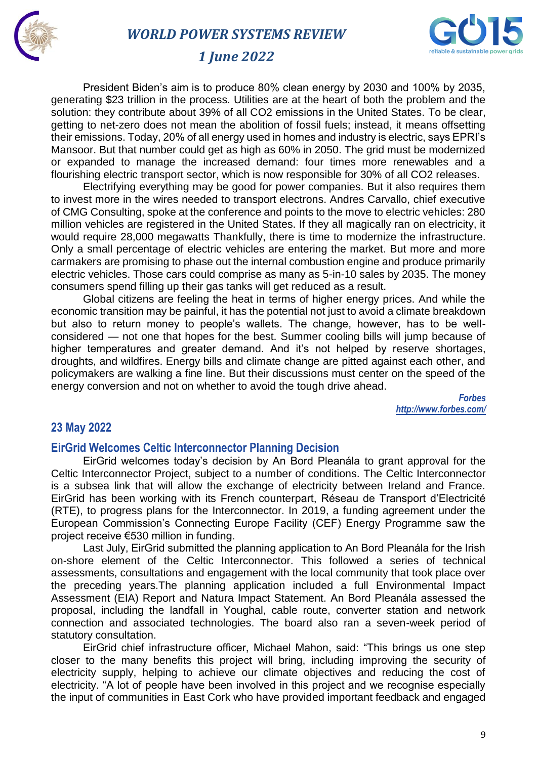



President Biden's aim is to produce 80% clean energy by 2030 and 100% by 2035, generating \$23 trillion in the process. Utilities are at the heart of both the problem and the solution: they contribute about 39% of all CO2 emissions in the United States. To be clear, getting to net-zero does not mean the abolition of fossil fuels; instead, it means offsetting their emissions. Today, 20% of all energy used in homes and industry is electric, says EPRI's Mansoor. But that number could get as high as 60% in 2050. The grid must be modernized or expanded to manage the increased demand: four times more renewables and a flourishing electric transport sector, which is now responsible for 30% of all CO2 releases.

Electrifying everything may be good for power companies. But it also requires them to invest more in the wires needed to transport electrons. Andres Carvallo, chief executive of CMG Consulting, spoke at the conference and points to the move to electric vehicles: 280 million vehicles are registered in the United States. If they all magically ran on electricity, it would require 28,000 megawatts Thankfully, there is time to modernize the infrastructure. Only a small percentage of electric vehicles are entering the market. But more and more carmakers are promising to phase out the internal combustion engine and produce primarily electric vehicles. Those cars could comprise as many as 5-in-10 sales by 2035. The money consumers spend filling up their gas tanks will get reduced as a result.

Global citizens are feeling the heat in terms of higher energy prices. And while the economic transition may be painful, it has the potential not just to avoid a climate breakdown but also to return money to people's wallets. The change, however, has to be wellconsidered — not one that hopes for the best. Summer cooling bills will jump because of higher temperatures and greater demand. And it's not helped by reserve shortages, droughts, and wildfires. Energy bills and climate change are pitted against each other, and policymakers are walking a fine line. But their discussions must center on the speed of the energy conversion and not on whether to avoid the tough drive ahead.

> *Forbes http://www.forbes.com/*

## **23 May 2022**

#### **EirGrid Welcomes Celtic Interconnector Planning Decision**

EirGrid welcomes today's decision by An Bord Pleanála to grant approval for the Celtic Interconnector Project, subject to a number of conditions. The Celtic Interconnector is a subsea link that will allow the exchange of electricity between Ireland and France. EirGrid has been working with its French counterpart, Réseau de Transport d'Electricité (RTE), to progress plans for the Interconnector. In 2019, a funding agreement under the European Commission's Connecting Europe Facility (CEF) Energy Programme saw the project receive €530 million in funding.

Last July, EirGrid submitted the planning application to An Bord Pleanála for the Irish on-shore element of the Celtic Interconnector. This followed a series of technical assessments, consultations and engagement with the local community that took place over the preceding years.The planning application included a full Environmental Impact Assessment (EIA) Report and Natura Impact Statement. An Bord Pleanála assessed the proposal, including the landfall in Youghal, cable route, converter station and network connection and associated technologies. The board also ran a seven-week period of statutory consultation.

EirGrid chief infrastructure officer, Michael Mahon, said: "This brings us one step closer to the many benefits this project will bring, including improving the security of electricity supply, helping to achieve our climate objectives and reducing the cost of electricity. "A lot of people have been involved in this project and we recognise especially the input of communities in East Cork who have provided important feedback and engaged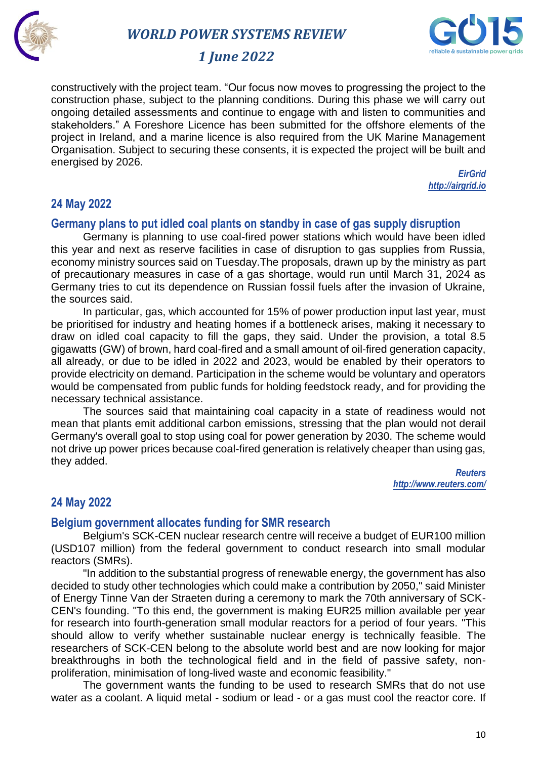



constructively with the project team. "Our focus now moves to progressing the project to the construction phase, subject to the planning conditions. During this phase we will carry out ongoing detailed assessments and continue to engage with and listen to communities and stakeholders." A Foreshore Licence has been submitted for the offshore elements of the project in Ireland, and a marine licence is also required from the UK Marine Management Organisation. Subject to securing these consents, it is expected the project will be built and energised by 2026.

> *EirGrid http://airgrid.io*

## **24 May 2022**

## **Germany plans to put idled coal plants on standby in case of gas supply disruption**

Germany is planning to use coal-fired power stations which would have been idled this year and next as reserve facilities in case of disruption to gas supplies from Russia, economy ministry sources said on Tuesday.The proposals, drawn up by the ministry as part of precautionary measures in case of a gas shortage, would run until March 31, 2024 as Germany tries to cut its dependence on Russian fossil fuels after the invasion of Ukraine, the sources said.

In particular, gas, which accounted for 15% of power production input last year, must be prioritised for industry and heating homes if a bottleneck arises, making it necessary to draw on idled coal capacity to fill the gaps, they said. Under the provision, a total 8.5 gigawatts (GW) of brown, hard coal-fired and a small amount of oil-fired generation capacity, all already, or due to be idled in 2022 and 2023, would be enabled by their operators to provide electricity on demand. Participation in the scheme would be voluntary and operators would be compensated from public funds for holding feedstock ready, and for providing the necessary technical assistance.

The sources said that maintaining coal capacity in a state of readiness would not mean that plants emit additional carbon emissions, stressing that the plan would not derail Germany's overall goal to stop using coal for power generation by 2030. The scheme would not drive up power prices because coal-fired generation is relatively cheaper than using gas, they added.

> *Reuters http://www.reuters.com/*

## **24 May 2022**

## **Belgium government allocates funding for SMR research**

Belgium's SCK-CEN nuclear research centre will receive a budget of EUR100 million (USD107 million) from the federal government to conduct research into small modular reactors (SMRs).

"In addition to the substantial progress of renewable energy, the government has also decided to study other technologies which could make a contribution by 2050," said Minister of Energy Tinne Van der Straeten during a ceremony to mark the 70th anniversary of SCK-CEN's founding. "To this end, the government is making EUR25 million available per year for research into fourth-generation small modular reactors for a period of four years. "This should allow to verify whether sustainable nuclear energy is technically feasible. The researchers of SCK-CEN belong to the absolute world best and are now looking for major breakthroughs in both the technological field and in the field of passive safety, nonproliferation, minimisation of long-lived waste and economic feasibility."

The government wants the funding to be used to research SMRs that do not use water as a coolant. A liquid metal - sodium or lead - or a gas must cool the reactor core. If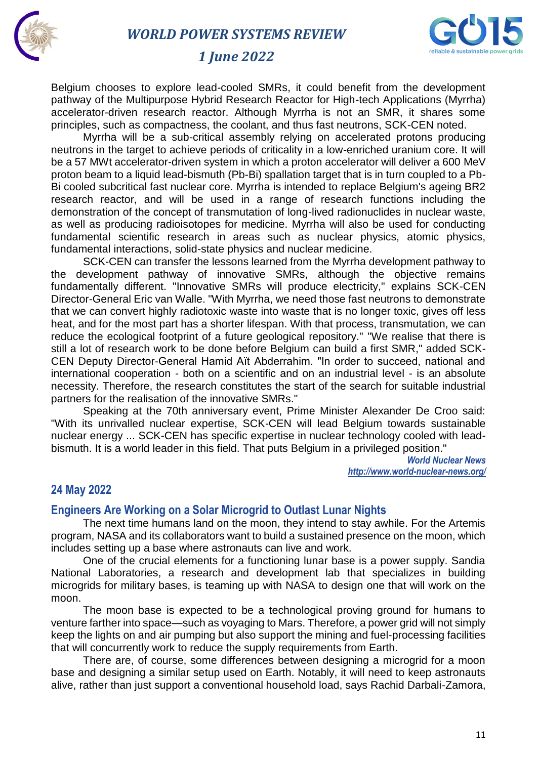



Belgium chooses to explore lead-cooled SMRs, it could benefit from the development pathway of the Multipurpose Hybrid Research Reactor for High-tech Applications (Myrrha) accelerator-driven research reactor. Although Myrrha is not an SMR, it shares some principles, such as compactness, the coolant, and thus fast neutrons, SCK-CEN noted.

Myrrha will be a sub-critical assembly relying on accelerated protons producing neutrons in the target to achieve periods of criticality in a low-enriched uranium core. It will be a 57 MWt accelerator-driven system in which a proton accelerator will deliver a 600 MeV proton beam to a liquid lead-bismuth (Pb-Bi) spallation target that is in turn coupled to a Pb-Bi cooled subcritical fast nuclear core. Myrrha is intended to replace Belgium's ageing BR2 research reactor, and will be used in a range of research functions including the demonstration of the concept of transmutation of long-lived radionuclides in nuclear waste, as well as producing radioisotopes for medicine. Myrrha will also be used for conducting fundamental scientific research in areas such as nuclear physics, atomic physics, fundamental interactions, solid-state physics and nuclear medicine.

SCK-CEN can transfer the lessons learned from the Myrrha development pathway to the development pathway of innovative SMRs, although the objective remains fundamentally different. "Innovative SMRs will produce electricity," explains SCK-CEN Director-General Eric van Walle. "With Myrrha, we need those fast neutrons to demonstrate that we can convert highly radiotoxic waste into waste that is no longer toxic, gives off less heat, and for the most part has a shorter lifespan. With that process, transmutation, we can reduce the ecological footprint of a future geological repository." "We realise that there is still a lot of research work to be done before Belgium can build a first SMR," added SCK-CEN Deputy Director-General Hamid Aït Abderrahim. "In order to succeed, national and international cooperation - both on a scientific and on an industrial level - is an absolute necessity. Therefore, the research constitutes the start of the search for suitable industrial partners for the realisation of the innovative SMRs."

Speaking at the 70th anniversary event, Prime Minister Alexander De Croo said: "With its unrivalled nuclear expertise, SCK-CEN will lead Belgium towards sustainable nuclear energy ... SCK-CEN has specific expertise in nuclear technology cooled with leadbismuth. It is a world leader in this field. That puts Belgium in a privileged position."

> *World Nuclear News http://www.world-nuclear-news.org/*

## **24 May 2022**

#### **Engineers Are Working on a Solar Microgrid to Outlast Lunar Nights**

The next time humans land on the moon, they intend to stay awhile. For the Artemis program, NASA and its collaborators want to build a sustained presence on the moon, which includes setting up a base where astronauts can live and work.

One of the crucial elements for a functioning lunar base is a power supply. Sandia National Laboratories, a research and development lab that specializes in building microgrids for military bases, is teaming up with NASA to design one that will work on the moon.

The moon base is expected to be a technological proving ground for humans to venture farther into space—such as voyaging to Mars. Therefore, a power grid will not simply keep the lights on and air pumping but also support the mining and fuel-processing facilities that will concurrently work to reduce the supply requirements from Earth.

There are, of course, some differences between designing a microgrid for a moon base and designing a similar setup used on Earth. Notably, it will need to keep astronauts alive, rather than just support a conventional household load, says Rachid Darbali-Zamora,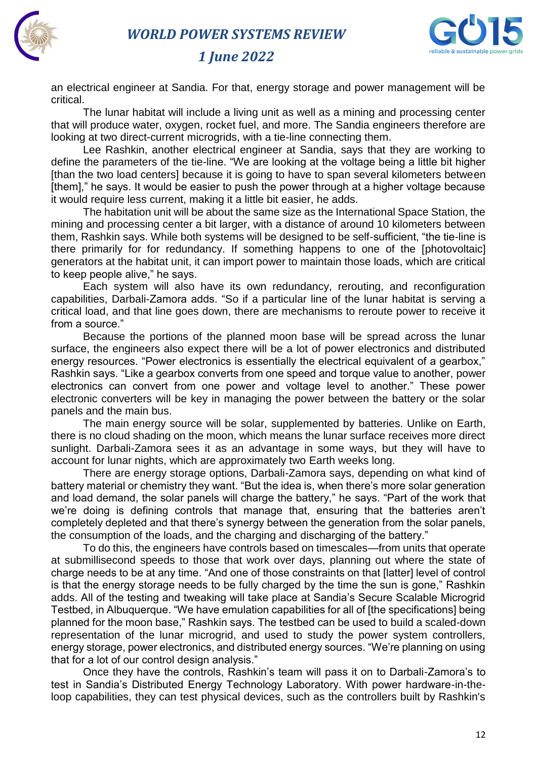



an electrical engineer at Sandia. For that, energy storage and power management will be critical.

The lunar habitat will include a living unit as well as a mining and processing center that will produce water, oxygen, rocket fuel, and more. The Sandia engineers therefore are looking at two direct-current microgrids, with a tie-line connecting them.

Lee Rashkin, another electrical engineer at Sandia, says that they are working to define the parameters of the tie-line. "We are looking at the voltage being a little bit higher [than the two load centers] because it is going to have to span several kilometers between [them]," he says. It would be easier to push the power through at a higher voltage because it would require less current, making it a little bit easier, he adds.

The habitation unit will be about the same size as the International Space Station, the mining and processing center a bit larger, with a distance of around 10 kilometers between them, Rashkin says. While both systems will be designed to be self-sufficient, "the tie-line is there primarily for for redundancy. If something happens to one of the [photovoltaic] generators at the habitat unit, it can import power to maintain those loads, which are critical to keep people alive," he says.

Each system will also have its own redundancy, rerouting, and reconfiguration capabilities, Darbali-Zamora adds. "So if a particular line of the lunar habitat is serving a critical load, and that line goes down, there are mechanisms to reroute power to receive it from a source."

Because the portions of the planned moon base will be spread across the lunar surface, the engineers also expect there will be a lot of power electronics and distributed energy resources. "Power electronics is essentially the electrical equivalent of a gearbox," Rashkin says. "Like a gearbox converts from one speed and torque value to another, power electronics can convert from one power and voltage level to another." These power electronic converters will be key in managing the power between the battery or the solar panels and the main bus.

The main energy source will be solar, supplemented by batteries. Unlike on Earth, there is no cloud shading on the moon, which means the lunar surface receives more direct sunlight. Darbali-Zamora sees it as an advantage in some ways, but they will have to account for lunar nights, which are approximately two Earth weeks long.

There are energy storage options, Darbali-Zamora says, depending on what kind of battery material or chemistry they want. "But the idea is, when there's more solar generation and load demand, the solar panels will charge the battery," he says. "Part of the work that we're doing is defining controls that manage that, ensuring that the batteries aren't completely depleted and that there's synergy between the generation from the solar panels, the consumption of the loads, and the charging and discharging of the battery."

To do this, the engineers have controls based on timescales—from units that operate at submillisecond speeds to those that work over days, planning out where the state of charge needs to be at any time. "And one of those constraints on that [latter] level of control is that the energy storage needs to be fully charged by the time the sun is gone," Rashkin adds. All of the testing and tweaking will take place at Sandia's Secure Scalable Microgrid Testbed, in Albuquerque. "We have emulation capabilities for all of [the specifications] being planned for the moon base," Rashkin says. The testbed can be used to build a scaled-down representation of the lunar microgrid, and used to study the power system controllers, energy storage, power electronics, and distributed energy sources. "We're planning on using that for a lot of our control design analysis."

Once they have the controls, Rashkin's team will pass it on to Darbali-Zamora's to test in Sandia's Distributed Energy Technology Laboratory. With power hardware-in-theloop capabilities, they can test physical devices, such as the controllers built by Rashkin's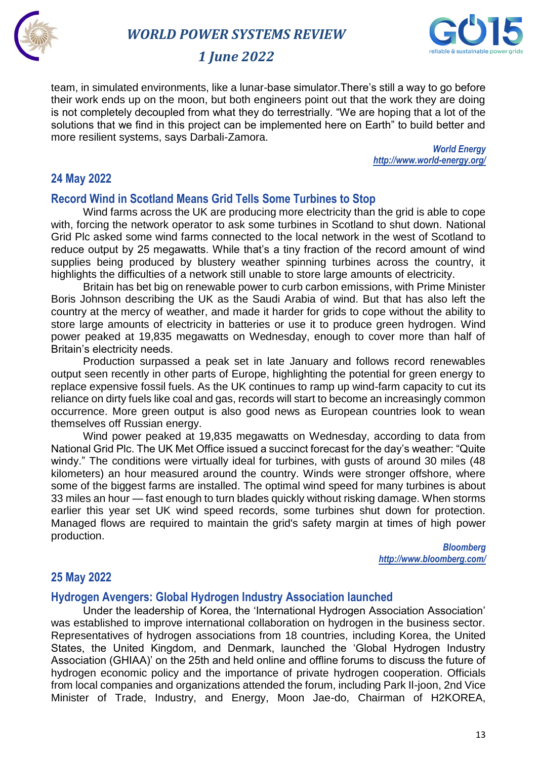

*WORLD POWER SYSTEMS REVIEW*



# *1 June 2022*

team, in simulated environments, like a lunar-base simulator.There's still a way to go before their work ends up on the moon, but both engineers point out that the work they are doing is not completely decoupled from what they do terrestrially. "We are hoping that a lot of the solutions that we find in this project can be implemented here on Earth" to build better and more resilient systems, says Darbali-Zamora.

> *World Energy http://www.world-energy.org/*

## **24 May 2022**

## **Record Wind in Scotland Means Grid Tells Some Turbines to Stop**

Wind farms across the UK are producing more electricity than the grid is able to cope with, forcing the network operator to ask some turbines in Scotland to shut down. National Grid Plc asked some wind farms connected to the local network in the west of Scotland to reduce output by 25 megawatts. While that's a tiny fraction of the record amount of wind supplies being produced by blustery weather spinning turbines across the country, it highlights the difficulties of a network still unable to store large amounts of electricity.

Britain has bet big on renewable power to curb carbon emissions, with Prime Minister Boris Johnson describing the UK as the Saudi Arabia of wind. But that has also left the country at the mercy of weather, and made it harder for grids to cope without the ability to store large amounts of electricity in batteries or use it to produce green hydrogen. Wind power peaked at 19,835 megawatts on Wednesday, enough to cover more than half of Britain's electricity needs.

Production surpassed a peak set in late January and follows record renewables output seen recently in other parts of Europe, highlighting the potential for green energy to replace expensive fossil fuels. As the UK continues to ramp up wind-farm capacity to cut its reliance on dirty fuels like coal and gas, records will start to become an increasingly common occurrence. More green output is also good news as European countries look to wean themselves off Russian energy.

Wind power peaked at 19,835 megawatts on Wednesday, according to data from National Grid Plc. The UK Met Office issued a succinct forecast for the day's weather: "Quite windy." The conditions were virtually ideal for turbines, with gusts of around 30 miles (48 kilometers) an hour measured around the country. Winds were stronger offshore, where some of the biggest farms are installed. The optimal wind speed for many turbines is about 33 miles an hour — fast enough to turn blades quickly without risking damage. When storms earlier this year set UK wind speed records, some turbines shut down for protection. Managed flows are required to maintain the grid's safety margin at times of high power production.

> *Bloomberg http://www.bloomberg.com/*

## **25 May 2022**

## **Hydrogen Avengers: Global Hydrogen Industry Association launched**

Under the leadership of Korea, the 'International Hydrogen Association Association' was established to improve international collaboration on hydrogen in the business sector. Representatives of hydrogen associations from 18 countries, including Korea, the United States, the United Kingdom, and Denmark, launched the 'Global Hydrogen Industry Association (GHIAA)' on the 25th and held online and offline forums to discuss the future of hydrogen economic policy and the importance of private hydrogen cooperation. Officials from local companies and organizations attended the forum, including Park Il-joon, 2nd Vice Minister of Trade, Industry, and Energy, Moon Jae-do, Chairman of H2KOREA,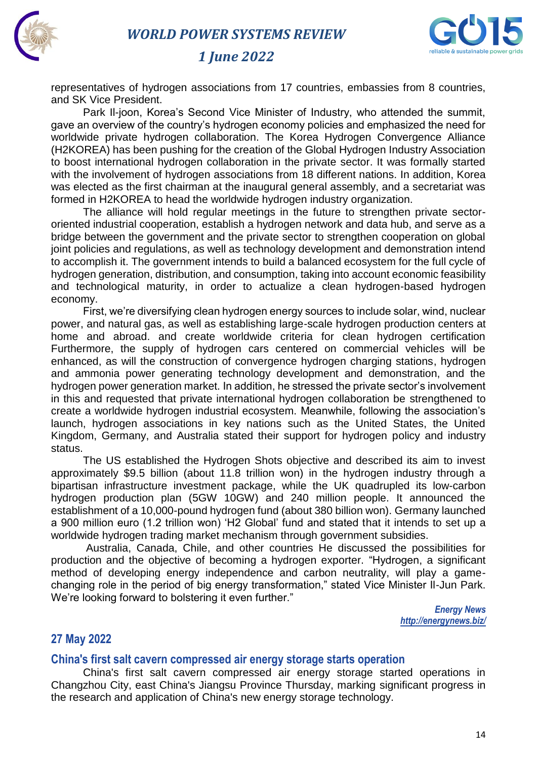



representatives of hydrogen associations from 17 countries, embassies from 8 countries, and SK Vice President.

Park Il-joon, Korea's Second Vice Minister of Industry, who attended the summit, gave an overview of the country's hydrogen economy policies and emphasized the need for worldwide private hydrogen collaboration. The Korea Hydrogen Convergence Alliance (H2KOREA) has been pushing for the creation of the Global Hydrogen Industry Association to boost international hydrogen collaboration in the private sector. It was formally started with the involvement of hydrogen associations from 18 different nations. In addition, Korea was elected as the first chairman at the inaugural general assembly, and a secretariat was formed in H2KOREA to head the worldwide hydrogen industry organization.

The alliance will hold regular meetings in the future to strengthen private sectororiented industrial cooperation, establish a hydrogen network and data hub, and serve as a bridge between the government and the private sector to strengthen cooperation on global joint policies and regulations, as well as technology development and demonstration intend to accomplish it. The government intends to build a balanced ecosystem for the full cycle of hydrogen generation, distribution, and consumption, taking into account economic feasibility and technological maturity, in order to actualize a clean hydrogen-based hydrogen economy.

First, we're diversifying clean hydrogen energy sources to include solar, wind, nuclear power, and natural gas, as well as establishing large-scale hydrogen production centers at home and abroad. and create worldwide criteria for clean hydrogen certification Furthermore, the supply of hydrogen cars centered on commercial vehicles will be enhanced, as will the construction of convergence hydrogen charging stations, hydrogen and ammonia power generating technology development and demonstration, and the hydrogen power generation market. In addition, he stressed the private sector's involvement in this and requested that private international hydrogen collaboration be strengthened to create a worldwide hydrogen industrial ecosystem. Meanwhile, following the association's launch, hydrogen associations in key nations such as the United States, the United Kingdom, Germany, and Australia stated their support for hydrogen policy and industry status.

The US established the Hydrogen Shots objective and described its aim to invest approximately \$9.5 billion (about 11.8 trillion won) in the hydrogen industry through a bipartisan infrastructure investment package, while the UK quadrupled its low-carbon hydrogen production plan (5GW 10GW) and 240 million people. It announced the establishment of a 10,000-pound hydrogen fund (about 380 billion won). Germany launched a 900 million euro (1.2 trillion won) 'H2 Global' fund and stated that it intends to set up a worldwide hydrogen trading market mechanism through government subsidies.

Australia, Canada, Chile, and other countries He discussed the possibilities for production and the objective of becoming a hydrogen exporter. "Hydrogen, a significant method of developing energy independence and carbon neutrality, will play a gamechanging role in the period of big energy transformation," stated Vice Minister Il-Jun Park. We're looking forward to bolstering it even further."

> *Energy News http://energynews.biz/*

## **27 May 2022**

#### **China's first salt cavern compressed air energy storage starts operation**

China's first salt cavern compressed air energy storage started operations in Changzhou City, east China's Jiangsu Province Thursday, marking significant progress in the research and application of China's new energy storage technology.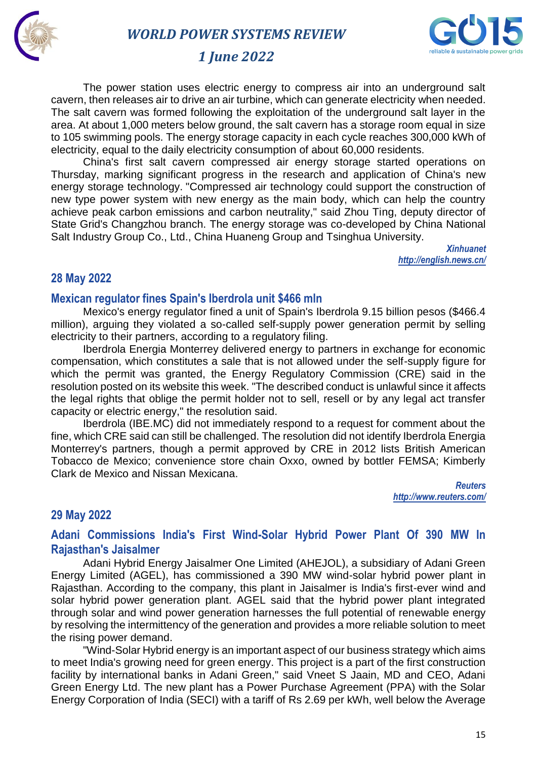



The power station uses electric energy to compress air into an underground salt cavern, then releases air to drive an air turbine, which can generate electricity when needed. The salt cavern was formed following the exploitation of the underground salt layer in the area. At about 1,000 meters below ground, the salt cavern has a storage room equal in size to 105 swimming pools. The energy storage capacity in each cycle reaches 300,000 kWh of electricity, equal to the daily electricity consumption of about 60,000 residents.

China's first salt cavern compressed air energy storage started operations on Thursday, marking significant progress in the research and application of China's new energy storage technology. "Compressed air technology could support the construction of new type power system with new energy as the main body, which can help the country achieve peak carbon emissions and carbon neutrality," said Zhou Ting, deputy director of State Grid's Changzhou branch. The energy storage was co-developed by China National Salt Industry Group Co., Ltd., China Huaneng Group and Tsinghua University.

> *Xinhuanet http://english.news.cn/*

## **28 May 2022**

#### **Mexican regulator fines Spain's Iberdrola unit \$466 mln**

Mexico's energy regulator fined a unit of Spain's Iberdrola 9.15 billion pesos (\$466.4 million), arguing they violated a so-called self-supply power generation permit by selling electricity to their partners, according to a regulatory filing.

Iberdrola Energia Monterrey delivered energy to partners in exchange for economic compensation, which constitutes a sale that is not allowed under the self-supply figure for which the permit was granted, the Energy Regulatory Commission (CRE) said in the resolution posted on its website this week. "The described conduct is unlawful since it affects the legal rights that oblige the permit holder not to sell, resell or by any legal act transfer capacity or electric energy," the resolution said.

Iberdrola (IBE.MC) did not immediately respond to a request for comment about the fine, which CRE said can still be challenged. The resolution did not identify Iberdrola Energia Monterrey's partners, though a permit approved by CRE in 2012 lists British American Tobacco de Mexico; convenience store chain Oxxo, owned by bottler FEMSA; Kimberly Clark de Mexico and Nissan Mexicana.

*Reuters http://www.reuters.com/*

## **29 May 2022**

## **Adani Commissions India's First Wind-Solar Hybrid Power Plant Of 390 MW In Rajasthan's Jaisalmer**

Adani Hybrid Energy Jaisalmer One Limited (AHEJOL), a subsidiary of Adani Green Energy Limited (AGEL), has commissioned a 390 MW wind-solar hybrid power plant in Rajasthan. According to the company, this plant in Jaisalmer is India's first-ever wind and solar hybrid power generation plant. AGEL said that the hybrid power plant integrated through solar and wind power generation harnesses the full potential of renewable energy by resolving the intermittency of the generation and provides a more reliable solution to meet the rising power demand.

"Wind-Solar Hybrid energy is an important aspect of our business strategy which aims to meet India's growing need for green energy. This project is a part of the first construction facility by international banks in Adani Green," said Vneet S Jaain, MD and CEO, Adani Green Energy Ltd. The new plant has a Power Purchase Agreement (PPA) with the Solar Energy Corporation of India (SECI) with a tariff of Rs 2.69 per kWh, well below the Average